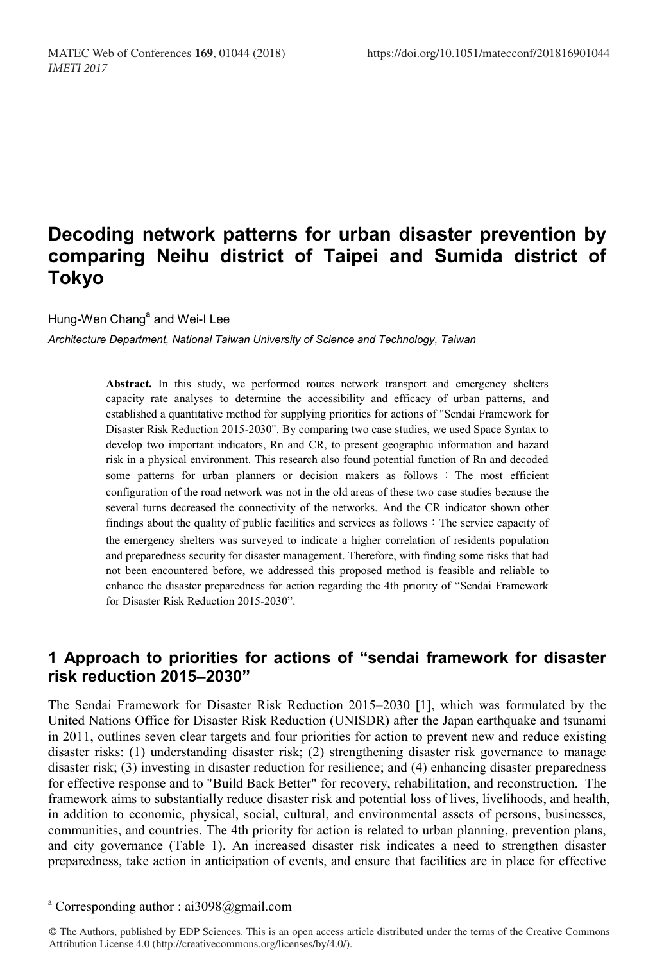# **Decoding network patterns for urban disaster prevention by comparing Neihu district of Taipei and Sumida district of Tokyo**

Hung-Wen Chang<sup>a</sup> and Wei-I Lee

*Architecture Department, National Taiwan University of Science and Technology, Taiwan*

**Abstract.** In this study, we performed routes network transport and emergency shelters capacity rate analyses to determine the accessibility and efficacy of urban patterns, and established a quantitative method for supplying priorities for actions of "Sendai Framework for Disaster Risk Reduction 2015-2030". By comparing two case studies, we used Space Syntax to develop two important indicators, Rn and CR, to present geographic information and hazard risk in a physical environment. This research also found potential function of Rn and decoded some patterns for urban planners or decision makers as follows : The most efficient configuration of the road network was not in the old areas of these two case studies because the several turns decreased the connectivity of the networks. And the CR indicator shown other findings about the quality of public facilities and services as follows: The service capacity of the emergency shelters was surveyed to indicate a higher correlation of residents population and preparedness security for disaster management. Therefore, with finding some risks that had not been encountered before, we addressed this proposed method is feasible and reliable to enhance the disaster preparedness for action regarding the 4th priority of "Sendai Framework for Disaster Risk Reduction 2015-2030".

### **1 Approach to priorities for actions of "sendai framework for disaster risk reduction 2015–2030"**

The Sendai Framework for Disaster Risk Reduction 2015–2030 [1], which was formulated by the United Nations Office for Disaster Risk Reduction (UNISDR) after the Japan earthquake and tsunami in 2011, outlines seven clear targets and four priorities for action to prevent new and reduce existing disaster risks: (1) understanding disaster risk; (2) strengthening disaster risk governance to manage disaster risk; (3) investing in disaster reduction for resilience; and (4) enhancing disaster preparedness for effective response and to "Build Back Better" for recovery, rehabilitation, and reconstruction. The framework aims to substantially reduce disaster risk and potential loss of lives, livelihoods, and health, in addition to economic, physical, social, cultural, and environmental assets of persons, businesses, communities, and countries. The 4th priority for action is related to urban planning, prevention plans, and city governance (Table 1). An increased disaster risk indicates a need to strengthen disaster preparedness, take action in anticipation of events, and ensure that facilities are in place for effective

<sup>&</sup>lt;sup>a</sup> Corresponding author : ai3098@gmail.com

<sup>©</sup> The Authors, published by EDP Sciences. This is an open access article distributed under the terms of the Creative Commons Attribution License 4.0 (http://creativecommons.org/licenses/by/4.0/).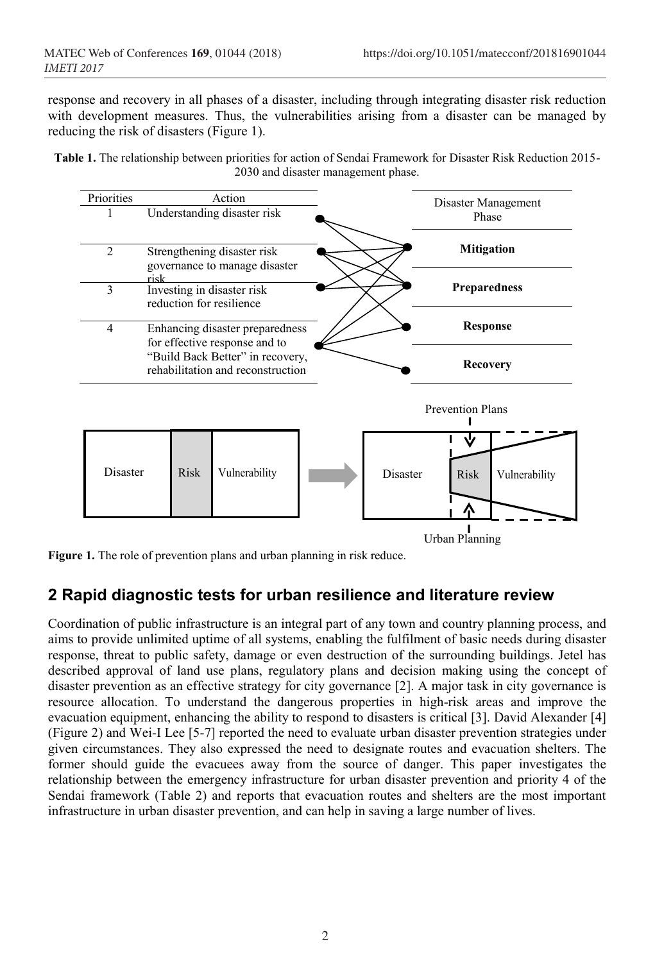response and recovery in all phases of a disaster, including through integrating disaster risk reduction with development measures. Thus, the vulnerabilities arising from a disaster can be managed by reducing the risk of disasters (Figure 1).

**Table 1.** The relationship between priorities for action of Sendai Framework for Disaster Risk Reduction 2015- 2030 and disaster management phase.

| Priorities      |      | Action      |                                                                   | Disaster Management |                   |                              |  |  |
|-----------------|------|-------------|-------------------------------------------------------------------|---------------------|-------------------|------------------------------|--|--|
|                 |      |             | Understanding disaster risk                                       |                     | Phase             |                              |  |  |
|                 |      |             |                                                                   |                     |                   |                              |  |  |
| $\overline{c}$  |      |             | Strengthening disaster risk<br>governance to manage disaster      |                     | <b>Mitigation</b> |                              |  |  |
| 3               | risk |             | Investing in disaster risk                                        |                     |                   | <b>Preparedness</b>          |  |  |
|                 |      |             | reduction for resilience                                          |                     |                   |                              |  |  |
|                 |      |             |                                                                   |                     |                   |                              |  |  |
| $\overline{4}$  |      |             | Enhancing disaster preparedness                                   |                     |                   | <b>Response</b>              |  |  |
|                 |      |             | for effective response and to<br>"Build Back Better" in recovery, |                     |                   |                              |  |  |
|                 |      |             | rehabilitation and reconstruction                                 |                     |                   | <b>Recovery</b>              |  |  |
|                 |      |             |                                                                   |                     |                   |                              |  |  |
|                 |      |             |                                                                   |                     |                   | <b>Prevention Plans</b>      |  |  |
|                 |      |             |                                                                   |                     |                   |                              |  |  |
|                 |      |             |                                                                   |                     |                   |                              |  |  |
|                 |      |             |                                                                   |                     |                   |                              |  |  |
| <b>Disaster</b> |      | <b>Risk</b> | Vulnerability                                                     |                     | <b>Disaster</b>   | <b>Risk</b><br>Vulnerability |  |  |
|                 |      |             |                                                                   |                     |                   |                              |  |  |
|                 |      |             |                                                                   |                     |                   |                              |  |  |
|                 |      |             |                                                                   |                     |                   |                              |  |  |
|                 |      |             |                                                                   |                     |                   | Urban Planning               |  |  |

**Figure 1.** The role of prevention plans and urban planning in risk reduce.

### **2 Rapid diagnostic tests for urban resilience and literature review**

Coordination of public infrastructure is an integral part of any town and country planning process, and aims to provide unlimited uptime of all systems, enabling the fulfilment of basic needs during disaster response, threat to public safety, damage or even destruction of the surrounding buildings. Jetel has described approval of land use plans, regulatory plans and decision making using the concept of disaster prevention as an effective strategy for city governance [2]. A major task in city governance is resource allocation. To understand the dangerous properties in high-risk areas and improve the evacuation equipment, enhancing the ability to respond to disasters is critical [3]. David Alexander [4] (Figure 2) and Wei-I Lee [5-7] reported the need to evaluate urban disaster prevention strategies under given circumstances. They also expressed the need to designate routes and evacuation shelters. The former should guide the evacuees away from the source of danger. This paper investigates the relationship between the emergency infrastructure for urban disaster prevention and priority 4 of the Sendai framework (Table 2) and reports that evacuation routes and shelters are the most important infrastructure in urban disaster prevention, and can help in saving a large number of lives.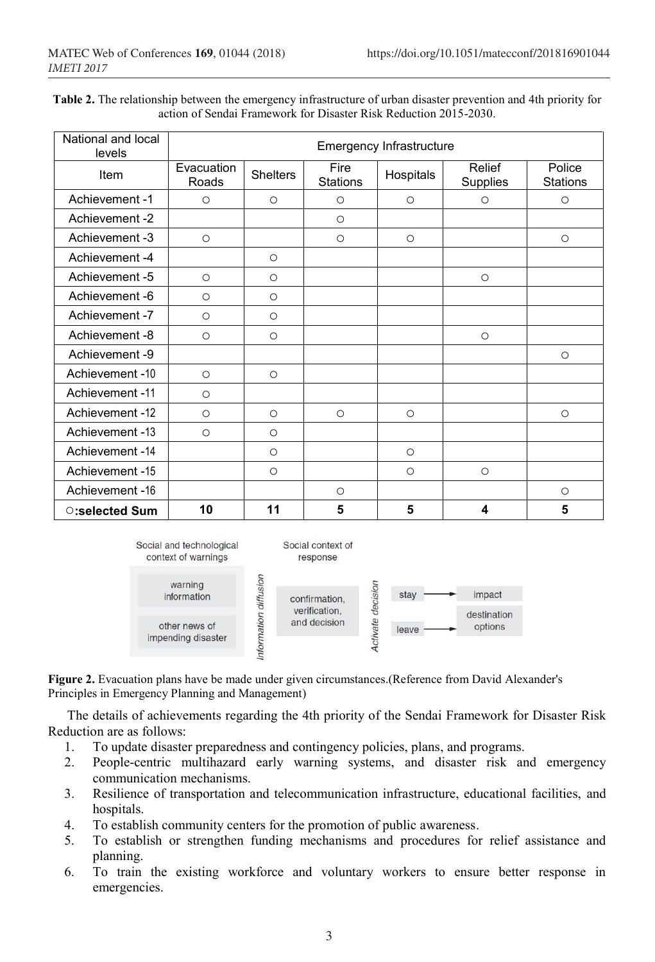**Table 2.** The relationship between the emergency infrastructure of urban disaster prevention and 4th priority for action of Sendai Framework for Disaster Risk Reduction 2015-2030.

| National and local<br>levels | Emergency Infrastructure |                 |                  |           |                    |                           |  |  |  |
|------------------------------|--------------------------|-----------------|------------------|-----------|--------------------|---------------------------|--|--|--|
| Item                         | Evacuation<br>Roads      | <b>Shelters</b> | Fire<br>Stations | Hospitals | Relief<br>Supplies | Police<br><b>Stations</b> |  |  |  |
| Achievement -1               | $\circ$                  | $\circ$         | $\circ$          | $\circ$   | $\circ$            | $\circ$                   |  |  |  |
| Achievement -2               |                          |                 | $\circ$          |           |                    |                           |  |  |  |
| Achievement -3               | $\circ$                  |                 | $\circ$          | $\circ$   |                    | $\circ$                   |  |  |  |
| Achievement -4               |                          | $\circ$         |                  |           |                    |                           |  |  |  |
| Achievement -5               | $\circ$                  | $\circ$         |                  |           | $\circ$            |                           |  |  |  |
| Achievement - 6              | $\circ$                  | $\circ$         |                  |           |                    |                           |  |  |  |
| Achievement -7               | $\circ$                  | $\circ$         |                  |           |                    |                           |  |  |  |
| Achievement -8               | $\circ$                  | $\circ$         |                  |           | $\circ$            |                           |  |  |  |
| Achievement -9               |                          |                 |                  |           |                    | $\circ$                   |  |  |  |
| Achievement -10              | $\circ$                  | $\circ$         |                  |           |                    |                           |  |  |  |
| Achievement -11              | $\circ$                  |                 |                  |           |                    |                           |  |  |  |
| Achievement -12              | $\circ$                  | $\circ$         | $\circ$          | $\circ$   |                    | $\circ$                   |  |  |  |
| Achievement -13              | $\circ$                  | $\circ$         |                  |           |                    |                           |  |  |  |
| Achievement -14              |                          | $\circ$         |                  | $\circ$   |                    |                           |  |  |  |
| Achievement -15              |                          | $\circ$         |                  | $\circ$   | $\circ$            |                           |  |  |  |
| Achievement -16              |                          |                 | $\circ$          |           |                    | $\circ$                   |  |  |  |
| ○:selected Sum               | 10                       | 11              | 5                | 5         | 4                  | 5                         |  |  |  |



**Figure 2.** Evacuation plans have be made under given circumstances.(Reference from David Alexander's Principles in Emergency Planning and Management)

The details of achievements regarding the 4th priority of the Sendai Framework for Disaster Risk Reduction are as follows:

- 1. To update disaster preparedness and contingency policies, plans, and programs.<br>2. People-centric multihazard early warning systems, and disaster risk and
- 2. People-centric multihazard early warning systems, and disaster risk and emergency communication mechanisms.
- 3. Resilience of transportation and telecommunication infrastructure, educational facilities, and hospitals.
- 4. To establish community centers for the promotion of public awareness.
- 5. To establish or strengthen funding mechanisms and procedures for relief assistance and planning.
- 6. To train the existing workforce and voluntary workers to ensure better response in emergencies.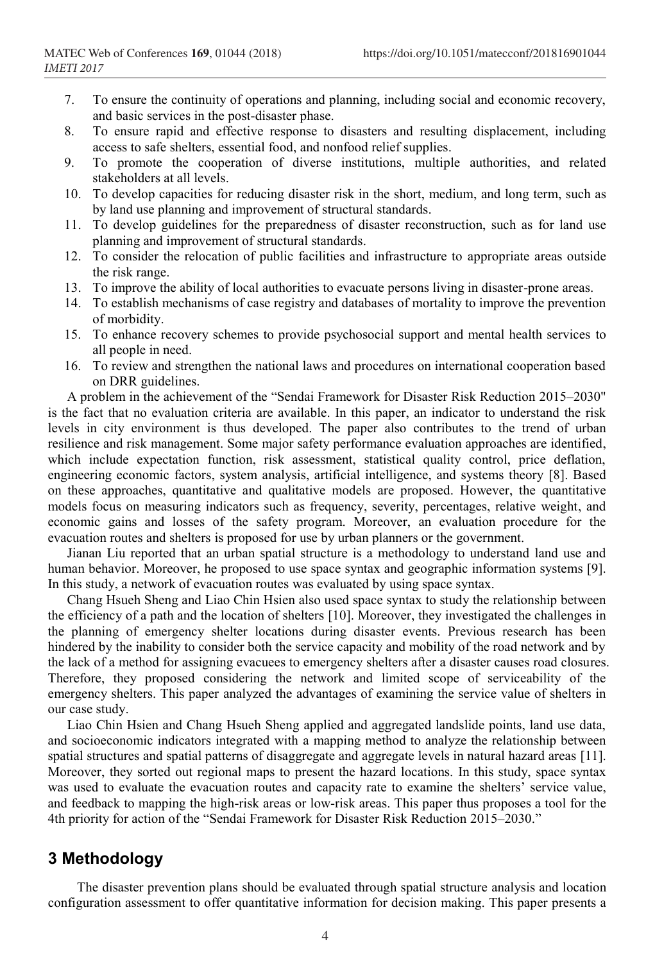- 7. To ensure the continuity of operations and planning, including social and economic recovery, and basic services in the post-disaster phase.
- 8. To ensure rapid and effective response to disasters and resulting displacement, including access to safe shelters, essential food, and nonfood relief supplies.
- 9. To promote the cooperation of diverse institutions, multiple authorities, and related stakeholders at all levels.
- 10. To develop capacities for reducing disaster risk in the short, medium, and long term, such as by land use planning and improvement of structural standards.
- 11. To develop guidelines for the preparedness of disaster reconstruction, such as for land use planning and improvement of structural standards.
- 12. To consider the relocation of public facilities and infrastructure to appropriate areas outside the risk range.
- 13. To improve the ability of local authorities to evacuate persons living in disaster-prone areas.
- 14. To establish mechanisms of case registry and databases of mortality to improve the prevention of morbidity.
- 15. To enhance recovery schemes to provide psychosocial support and mental health services to all people in need.
- 16. To review and strengthen the national laws and procedures on international cooperation based on DRR guidelines.

A problem in the achievement of the "Sendai Framework for Disaster Risk Reduction 2015–2030" is the fact that no evaluation criteria are available. In this paper, an indicator to understand the risk levels in city environment is thus developed. The paper also contributes to the trend of urban resilience and risk management. Some major safety performance evaluation approaches are identified, which include expectation function, risk assessment, statistical quality control, price deflation, engineering economic factors, system analysis, artificial intelligence, and systems theory [8]. Based on these approaches, quantitative and qualitative models are proposed. However, the quantitative models focus on measuring indicators such as frequency, severity, percentages, relative weight, and economic gains and losses of the safety program. Moreover, an evaluation procedure for the evacuation routes and shelters is proposed for use by urban planners or the government.

Jianan Liu reported that an urban spatial structure is a methodology to understand land use and human behavior. Moreover, he proposed to use space syntax and geographic information systems [9]. In this study, a network of evacuation routes was evaluated by using space syntax.

Chang Hsueh Sheng and Liao Chin Hsien also used space syntax to study the relationship between the efficiency of a path and the location of shelters [10]. Moreover, they investigated the challenges in the planning of emergency shelter locations during disaster events. Previous research has been hindered by the inability to consider both the service capacity and mobility of the road network and by the lack of a method for assigning evacuees to emergency shelters after a disaster causes road closures. Therefore, they proposed considering the network and limited scope of serviceability of the emergency shelters. This paper analyzed the advantages of examining the service value of shelters in our case study.

Liao Chin Hsien and Chang Hsueh Sheng applied and aggregated landslide points, land use data, and socioeconomic indicators integrated with a mapping method to analyze the relationship between spatial structures and spatial patterns of disaggregate and aggregate levels in natural hazard areas [11]. Moreover, they sorted out regional maps to present the hazard locations. In this study, space syntax was used to evaluate the evacuation routes and capacity rate to examine the shelters' service value, and feedback to mapping the high-risk areas or low-risk areas. This paper thus proposes a tool for the 4th priority for action of the "Sendai Framework for Disaster Risk Reduction 2015–2030."

### **3 Methodology**

The disaster prevention plans should be evaluated through spatial structure analysis and location configuration assessment to offer quantitative information for decision making. This paper presents a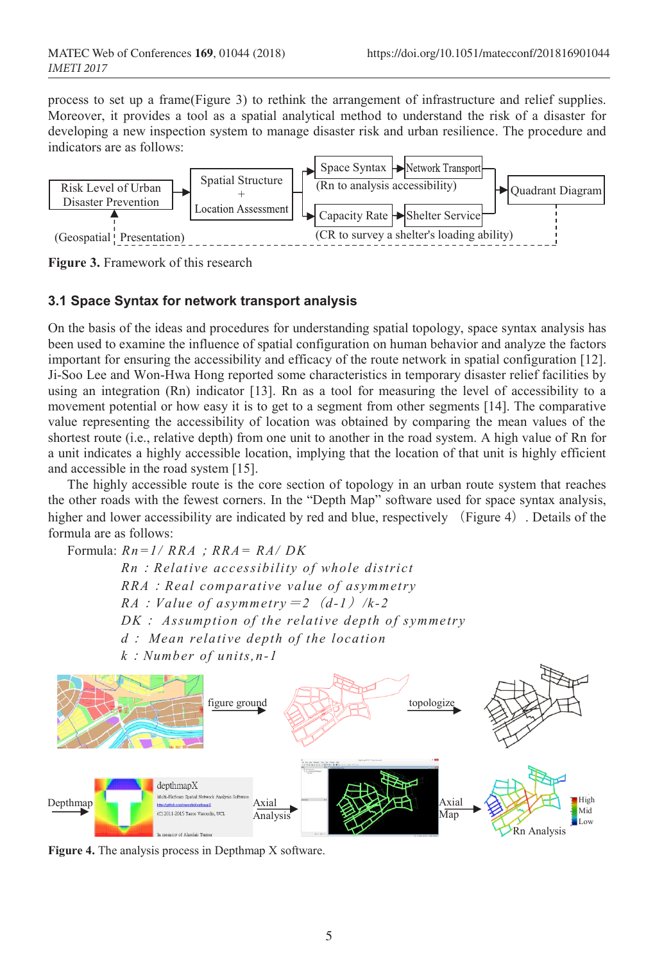process to set up a frame(Figure 3) to rethink the arrangement of infrastructure and relief supplies. Moreover, it provides a tool as a spatial analytical method to understand the risk of a disaster for developing a new inspection system to manage disaster risk and urban resilience. The procedure and indicators are as follows:



**Figure 3.** Framework of this research

### **3.1 Space Syntax for network transport analysis**

On the basis of the ideas and procedures for understanding spatial topology, space syntax analysis has been used to examine the influence of spatial configuration on human behavior and analyze the factors important for ensuring the accessibility and efficacy of the route network in spatial configuration [12]. Ji-Soo Lee and Won-Hwa Hong reported some characteristics in temporary disaster relief facilities by using an integration (Rn) indicator [13]. Rn as a tool for measuring the level of accessibility to a movement potential or how easy it is to get to a segment from other segments [14]. The comparative value representing the accessibility of location was obtained by comparing the mean values of the shortest route (i.e., relative depth) from one unit to another in the road system. A high value of Rn for a unit indicates a highly accessible location, implying that the location of that unit is highly efficient and accessible in the road system [15].

The highly accessible route is the core section of topology in an urban route system that reaches the other roads with the fewest corners. In the "Depth Map" software used for space syntax analysis, higher and lower accessibility are indicated by red and blue, respectively (Figure 4). Details of the formula are as follows:

Formula: *Rn=1/ RRA*;*RRA= RA/ DK Rn*:*Relative accessibility of whole district RRA*:*Real comparative value of asymmetry RA*: *Value of asymmetry* = 2 (*d-1*) /k-2 *DK*: *Assumption of the relative depth of symmetry d*: *Mean relative depth of the location k*:*Number of units,n-1*



**Figure 4.** The analysis process in Depthmap X software.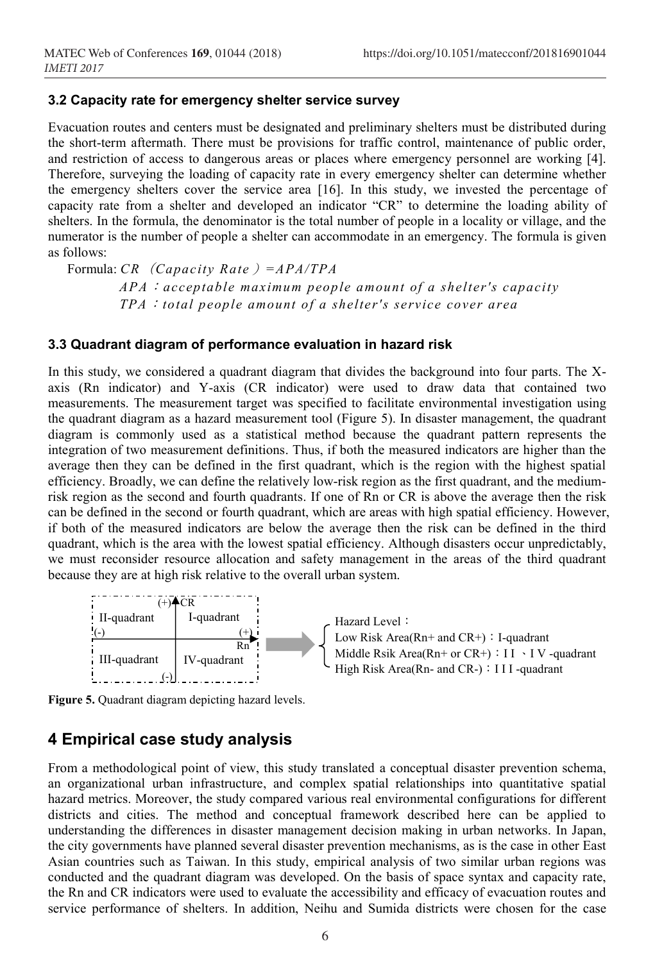### **3.2 Capacity rate for emergency shelter service survey**

Evacuation routes and centers must be designated and preliminary shelters must be distributed during the short-term aftermath. There must be provisions for traffic control, maintenance of public order, and restriction of access to dangerous areas or places where emergency personnel are working [4]. Therefore, surveying the loading of capacity rate in every emergency shelter can determine whether the emergency shelters cover the service area [16]. In this study, we invested the percentage of capacity rate from a shelter and developed an indicator "CR" to determine the loading ability of shelters. In the formula, the denominator is the total number of people in a locality or village, and the numerator is the number of people a shelter can accommodate in an emergency. The formula is given as follows:

Formula: *CR*(*Capacity Rate*)*=APA/TPA APA*:*acceptable maximum people amount of a shelter's capacity TPA*:*total people amount of a shelter's service cover area*

#### **3.3 Quadrant diagram of performance evaluation in hazard risk**

In this study, we considered a quadrant diagram that divides the background into four parts. The Xaxis (Rn indicator) and Y-axis (CR indicator) were used to draw data that contained two measurements. The measurement target was specified to facilitate environmental investigation using the quadrant diagram as a hazard measurement tool (Figure 5). In disaster management, the quadrant diagram is commonly used as a statistical method because the quadrant pattern represents the integration of two measurement definitions. Thus, if both the measured indicators are higher than the average then they can be defined in the first quadrant, which is the region with the highest spatial efficiency. Broadly, we can define the relatively low-risk region as the first quadrant, and the mediumrisk region as the second and fourth quadrants. If one of Rn or CR is above the average then the risk can be defined in the second or fourth quadrant, which are areas with high spatial efficiency. However, if both of the measured indicators are below the average then the risk can be defined in the third quadrant, which is the area with the lowest spatial efficiency. Although disasters occur unpredictably, we must reconsider resource allocation and safety management in the areas of the third quadrant because they are at high risk relative to the overall urban system.



**Figure 5.** Quadrant diagram depicting hazard levels.

## **4 Empirical case study analysis**

From a methodological point of view, this study translated a conceptual disaster prevention schema, an organizational urban infrastructure, and complex spatial relationships into quantitative spatial hazard metrics. Moreover, the study compared various real environmental configurations for different districts and cities. The method and conceptual framework described here can be applied to understanding the differences in disaster management decision making in urban networks. In Japan, the city governments have planned several disaster prevention mechanisms, as is the case in other East Asian countries such as Taiwan. In this study, empirical analysis of two similar urban regions was conducted and the quadrant diagram was developed. On the basis of space syntax and capacity rate, the Rn and CR indicators were used to evaluate the accessibility and efficacy of evacuation routes and service performance of shelters. In addition, Neihu and Sumida districts were chosen for the case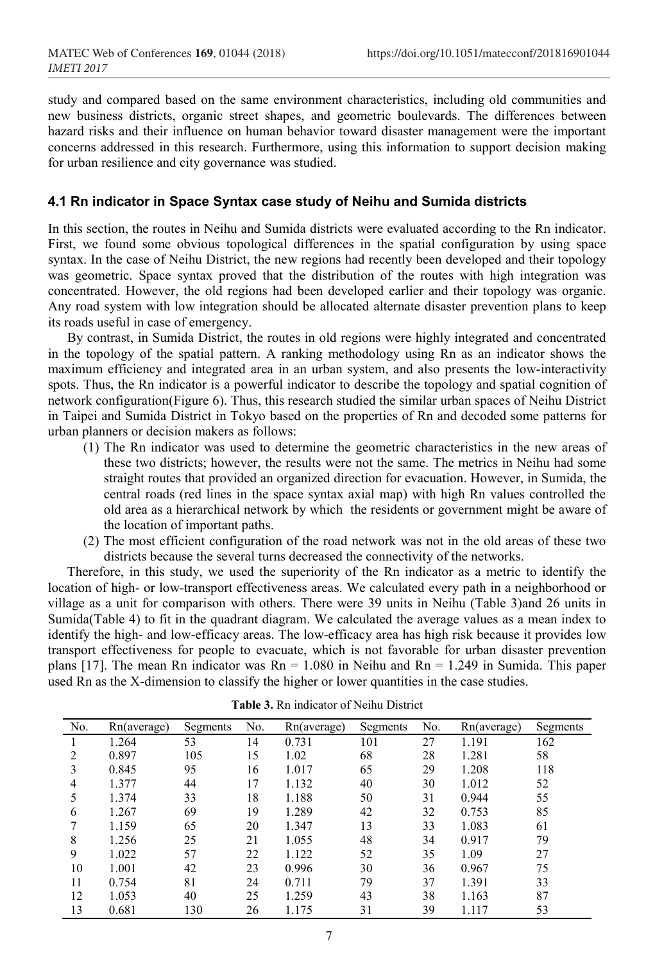study and compared based on the same environment characteristics, including old communities and new business districts, organic street shapes, and geometric boulevards. The differences between hazard risks and their influence on human behavior toward disaster management were the important concerns addressed in this research. Furthermore, using this information to support decision making for urban resilience and city governance was studied.

#### **4.1 Rn indicator in Space Syntax case study of Neihu and Sumida districts**

In this section, the routes in Neihu and Sumida districts were evaluated according to the Rn indicator. First, we found some obvious topological differences in the spatial configuration by using space syntax. In the case of Neihu District, the new regions had recently been developed and their topology was geometric. Space syntax proved that the distribution of the routes with high integration was concentrated. However, the old regions had been developed earlier and their topology was organic. Any road system with low integration should be allocated alternate disaster prevention plans to keep its roads useful in case of emergency.

By contrast, in Sumida District, the routes in old regions were highly integrated and concentrated in the topology of the spatial pattern. A ranking methodology using Rn as an indicator shows the maximum efficiency and integrated area in an urban system, and also presents the low-interactivity spots. Thus, the Rn indicator is a powerful indicator to describe the topology and spatial cognition of network configuration(Figure 6). Thus, this research studied the similar urban spaces of Neihu District in Taipei and Sumida District in Tokyo based on the properties of Rn and decoded some patterns for urban planners or decision makers as follows:

- (1) The Rn indicator was used to determine the geometric characteristics in the new areas of these two districts; however, the results were not the same. The metrics in Neihu had some straight routes that provided an organized direction for evacuation. However, in Sumida, the central roads (red lines in the space syntax axial map) with high Rn values controlled the old area as a hierarchical network by which the residents or government might be aware of the location of important paths.
- (2) The most efficient configuration of the road network was not in the old areas of these two districts because the several turns decreased the connectivity of the networks.

Therefore, in this study, we used the superiority of the Rn indicator as a metric to identify the location of high- or low-transport effectiveness areas. We calculated every path in a neighborhood or village as a unit for comparison with others. There were 39 units in Neihu (Table 3)and 26 units in Sumida(Table 4) to fit in the quadrant diagram. We calculated the average values as a mean index to identify the high- and low-efficacy areas. The low-efficacy area has high risk because it provides low transport effectiveness for people to evacuate, which is not favorable for urban disaster prevention plans [17]. The mean Rn indicator was  $Rn = 1.080$  in Neihu and  $Rn = 1.249$  in Sumida. This paper used Rn as the X-dimension to classify the higher or lower quantities in the case studies.

| No. | Rn(average) | Segments | No. | Rn(average) | Segments | No. | Rn(average) | Segments |
|-----|-------------|----------|-----|-------------|----------|-----|-------------|----------|
|     | 1.264       | 53       | 14  | 0.731       | 101      | 27  | 1.191       | 162      |
|     | 0.897       | 105      | 15  | 1.02        | 68       | 28  | 1.281       | 58       |
| 3   | 0.845       | 95       | 16  | 1.017       | 65       | 29  | 1.208       | 118      |
| 4   | 1.377       | 44       | 17  | 1.132       | 40       | 30  | 1.012       | 52       |
| 5   | 1.374       | 33       | 18  | 1.188       | 50       | 31  | 0.944       | 55       |
| 6   | 1.267       | 69       | 19  | 1.289       | 42       | 32  | 0.753       | 85       |
|     | 1.159       | 65       | 20  | 1.347       | 13       | 33  | 1.083       | 61       |
| 8   | 1.256       | 25       | 21  | 1.055       | 48       | 34  | 0.917       | 79       |
| 9   | 1.022       | 57       | 22  | 1.122       | 52       | 35  | 1.09        | 27       |
| 10  | 1.001       | 42       | 23  | 0.996       | 30       | 36  | 0.967       | 75       |
| 11  | 0.754       | 81       | 24  | 0.711       | 79       | 37  | 1.391       | 33       |
| 12  | 1.053       | 40       | 25  | 1.259       | 43       | 38  | 1.163       | 87       |
| 13  | 0.681       | 130      | 26  | 1.175       | 31       | 39  | 1.117       | 53       |

| <b>Table 3.</b> Rn indicator of Neihu District |  |  |  |
|------------------------------------------------|--|--|--|
|------------------------------------------------|--|--|--|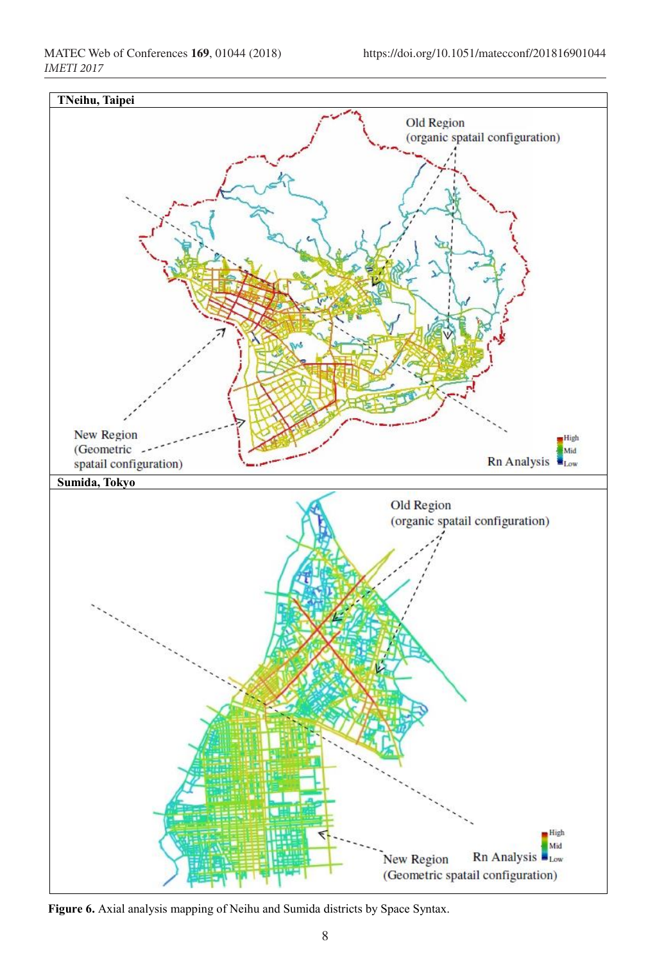

**Figure 6.** Axial analysis mapping of Neihu and Sumida districts by Space Syntax.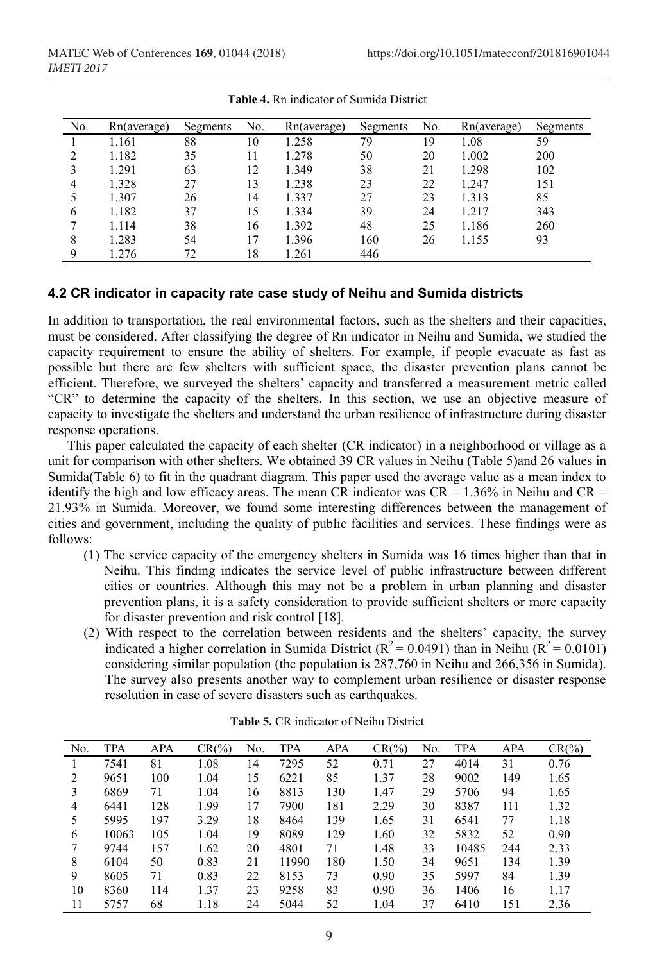| No. | Rn(average) | Segments | No. | Rn(average) | Segments | No. | Rn(average) | Segments |
|-----|-------------|----------|-----|-------------|----------|-----|-------------|----------|
|     | 1.161       | 88       | 10  | 1.258       | 79       | 19  | 1.08        | 59       |
| າ   | 1.182       | 35       | 11  | 1.278       | 50       | 20  | 1.002       | 200      |
|     | 1.291       | 63       | 12  | 1.349       | 38       | 21  | 1.298       | 102      |
| 4   | 1.328       | 27       | 13  | 1.238       | 23       | 22  | 1.247       | 151      |
|     | 1.307       | 26       | 14  | 1.337       | 27       | 23  | 1.313       | 85       |
| 6   | 1.182       | 37       | 15  | 1.334       | 39       | 24  | 1.217       | 343      |
|     | 1.114       | 38       | 16  | 1.392       | 48       | 25  | 1.186       | 260      |
| 8   | 1.283       | 54       |     | 1.396       | 160      | 26  | 1.155       | 93       |
| Q   | 1.276       | 72       | 18  | .261        | 446      |     |             |          |

**Table 4.** Rn indicator of Sumida District

#### **4.2 CR indicator in capacity rate case study of Neihu and Sumida districts**

In addition to transportation, the real environmental factors, such as the shelters and their capacities, must be considered. After classifying the degree of Rn indicator in Neihu and Sumida, we studied the capacity requirement to ensure the ability of shelters. For example, if people evacuate as fast as possible but there are few shelters with sufficient space, the disaster prevention plans cannot be efficient. Therefore, we surveyed the shelters' capacity and transferred a measurement metric called "CR" to determine the capacity of the shelters. In this section, we use an objective measure of capacity to investigate the shelters and understand the urban resilience of infrastructure during disaster response operations.

This paper calculated the capacity of each shelter (CR indicator) in a neighborhood or village as a unit for comparison with other shelters. We obtained 39 CR values in Neihu (Table 5)and 26 values in Sumida(Table 6) to fit in the quadrant diagram. This paper used the average value as a mean index to identify the high and low efficacy areas. The mean CR indicator was  $CR = 1.36\%$  in Neihu and  $CR =$ 21.93% in Sumida. Moreover, we found some interesting differences between the management of cities and government, including the quality of public facilities and services. These findings were as follows:

- (1) The service capacity of the emergency shelters in Sumida was 16 times higher than that in Neihu. This finding indicates the service level of public infrastructure between different cities or countries. Although this may not be a problem in urban planning and disaster prevention plans, it is a safety consideration to provide sufficient shelters or more capacity for disaster prevention and risk control [18].
- (2) With respect to the correlation between residents and the shelters' capacity, the survey indicated a higher correlation in Sumida District ( $R^2 = 0.0491$ ) than in Neihu ( $R^2 = 0.0101$ ) considering similar population (the population is 287,760 in Neihu and 266,356 in Sumida). The survey also presents another way to complement urban resilience or disaster response resolution in case of severe disasters such as earthquakes.

| No. | TPA   | <b>APA</b> | $CR(\%)$ | No. | TPA   | <b>APA</b> | $CR(\% )$ | No. | TPA   | <b>APA</b> | $CR(\%)$ |
|-----|-------|------------|----------|-----|-------|------------|-----------|-----|-------|------------|----------|
|     | 7541  | 81         | 1.08     | 14  | 7295  | 52         | 0.71      | 27  | 4014  | 31         | 0.76     |
| 2   | 9651  | 100        | 1.04     | 15  | 6221  | 85         | 1.37      | 28  | 9002  | 149        | 1.65     |
| 3   | 6869  | 71         | 1.04     | 16  | 8813  | 130        | 1.47      | 29  | 5706  | 94         | 1.65     |
| 4   | 6441  | 128        | 1.99     | 17  | 7900  | 181        | 2.29      | 30  | 8387  | 111        | 1.32     |
| 5   | 5995  | 197        | 3.29     | 18  | 8464  | 139        | 1.65      | 31  | 6541  | 77         | 1.18     |
| 6   | 10063 | 105        | 1.04     | 19  | 8089  | 129        | 1.60      | 32  | 5832  | 52         | 0.90     |
|     | 9744  | 157        | 1.62     | 20  | 4801  | 71         | 1.48      | 33  | 10485 | 244        | 2.33     |
| 8   | 6104  | 50         | 0.83     | 21  | 11990 | 180        | 1.50      | 34  | 9651  | 134        | 1.39     |
| 9   | 8605  | 71         | 0.83     | 22  | 8153  | 73         | 0.90      | 35  | 5997  | 84         | 1.39     |
| 10  | 8360  | 114        | 1.37     | 23  | 9258  | 83         | 0.90      | 36  | 1406  | 16         | 1.17     |
| 11  | 5757  | 68         | 1.18     | 24  | 5044  | 52         | 1.04      | 37  | 6410  | 151        | 2.36     |

**Table 5.** CR indicator of Neihu District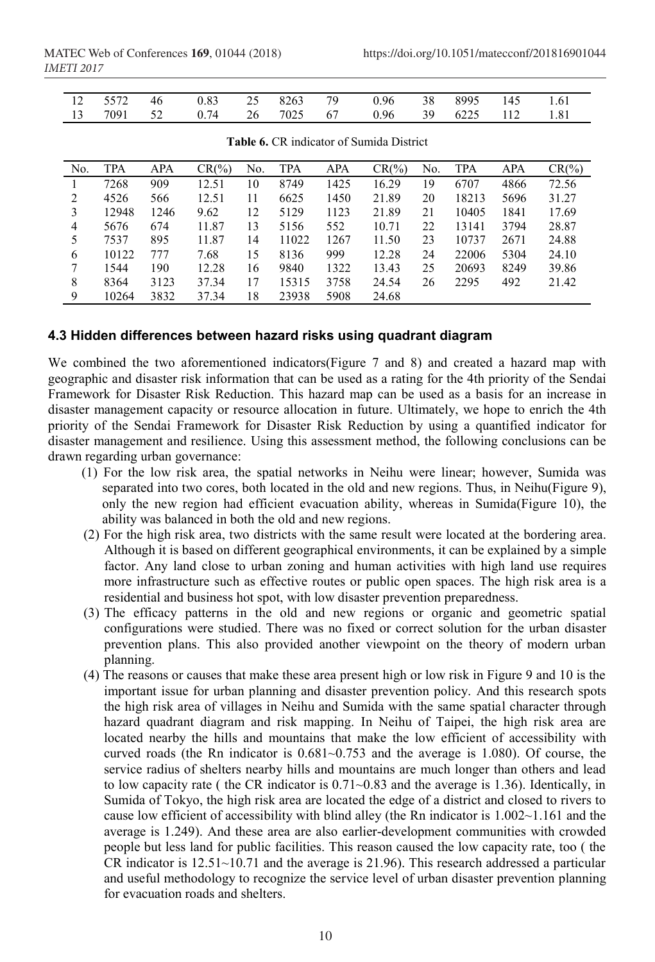|  |  |  | 12 5572 46 0.83 25 8263 79 0.96 38 8995 145 1.61 |  |  |
|--|--|--|--------------------------------------------------|--|--|
|  |  |  | 13 7091 52 0.74 26 7025 67 0.96 39 6225 112 1.81 |  |  |

| No. | <b>TPA</b> | <b>APA</b> | $CR(\% )$ | No. | TPA   | <b>APA</b> | $CR(\%)$ | No. | <b>TPA</b> | APA  | $CR(\% )$ |
|-----|------------|------------|-----------|-----|-------|------------|----------|-----|------------|------|-----------|
|     | 7268       | 909        | 12.51     | 10  | 8749  | 1425       | 16.29    | 19  | 6707       | 4866 | 72.56     |
| 2   | 4526       | 566        | 12.51     | 11  | 6625  | 1450       | 21.89    | 20  | 18213      | 5696 | 31.27     |
| 3   | 12948      | 1246       | 9.62      | 12  | 5129  | 1123       | 21.89    | 21  | 10405      | 1841 | 17.69     |
| 4   | 5676       | 674        | 11.87     | 13  | 5156  | 552        | 10.71    | 22  | 13141      | 3794 | 28.87     |
| 5   | 7537       | 895        | 11.87     | 14  | 11022 | 1267       | 11.50    | 23  | 10737      | 2671 | 24.88     |
| 6   | 10122      | 777        | 7.68      | 15  | 8136  | 999        | 12.28    | 24  | 22006      | 5304 | 24.10     |
| 7   | 1544       | 190        | 12.28     | 16  | 9840  | 1322       | 13.43    | 25  | 20693      | 8249 | 39.86     |
| 8   | 8364       | 3123       | 37.34     | 17  | 15315 | 3758       | 24.54    | 26  | 2295       | 492  | 21.42     |
| 9   | 10264      | 3832       | 37.34     | 18  | 23938 | 5908       | 24.68    |     |            |      |           |

**Table 6.** CR indicator of Sumida District

#### **4.3 Hidden differences between hazard risks using quadrant diagram**

We combined the two aforementioned indicators(Figure 7 and 8) and created a hazard map with geographic and disaster risk information that can be used as a rating for the 4th priority of the Sendai Framework for Disaster Risk Reduction. This hazard map can be used as a basis for an increase in disaster management capacity or resource allocation in future. Ultimately, we hope to enrich the 4th priority of the Sendai Framework for Disaster Risk Reduction by using a quantified indicator for disaster management and resilience. Using this assessment method, the following conclusions can be drawn regarding urban governance:

- (1) For the low risk area, the spatial networks in Neihu were linear; however, Sumida was separated into two cores, both located in the old and new regions. Thus, in Neihu(Figure 9), only the new region had efficient evacuation ability, whereas in Sumida(Figure 10), the ability was balanced in both the old and new regions.
- (2) For the high risk area, two districts with the same result were located at the bordering area. Although it is based on different geographical environments, it can be explained by a simple factor. Any land close to urban zoning and human activities with high land use requires more infrastructure such as effective routes or public open spaces. The high risk area is a residential and business hot spot, with low disaster prevention preparedness.
- (3) The efficacy patterns in the old and new regions or organic and geometric spatial configurations were studied. There was no fixed or correct solution for the urban disaster prevention plans. This also provided another viewpoint on the theory of modern urban planning.
- (4) The reasons or causes that make these area present high or low risk in Figure 9 and 10 is the important issue for urban planning and disaster prevention policy. And this research spots the high risk area of villages in Neihu and Sumida with the same spatial character through hazard quadrant diagram and risk mapping. In Neihu of Taipei, the high risk area are located nearby the hills and mountains that make the low efficient of accessibility with curved roads (the Rn indicator is 0.681~0.753 and the average is 1.080). Of course, the service radius of shelters nearby hills and mountains are much longer than others and lead to low capacity rate ( the CR indicator is 0.71~0.83 and the average is 1.36). Identically, in Sumida of Tokyo, the high risk area are located the edge of a district and closed to rivers to cause low efficient of accessibility with blind alley (the Rn indicator is 1.002~1.161 and the average is 1.249). And these area are also earlier-development communities with crowded people but less land for public facilities. This reason caused the low capacity rate, too ( the CR indicator is 12.51~10.71 and the average is 21.96). This research addressed a particular and useful methodology to recognize the service level of urban disaster prevention planning for evacuation roads and shelters.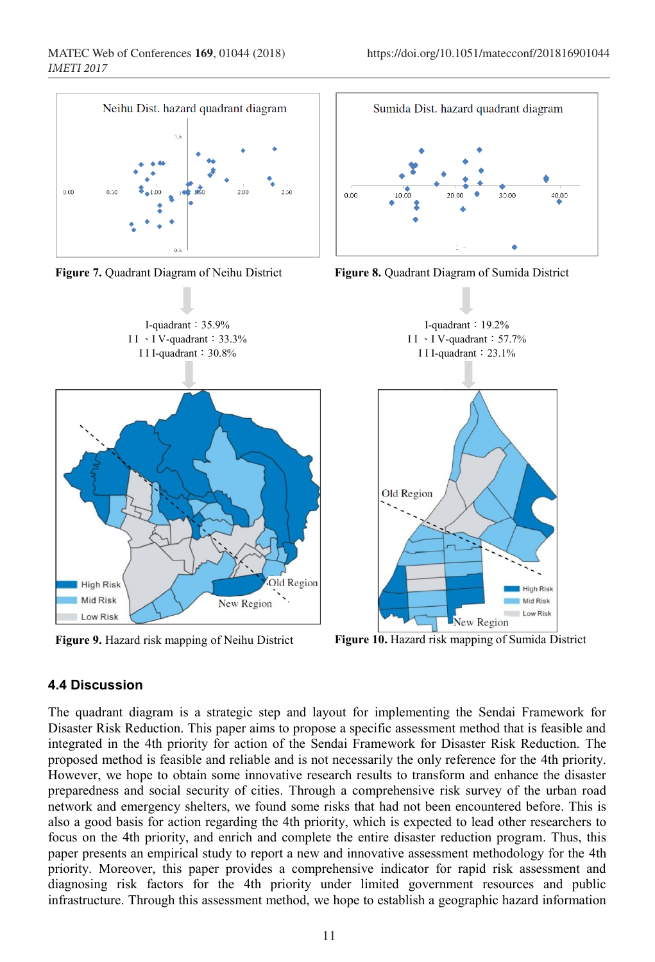









**Figure 9.** Hazard risk mapping of Neihu District **Figure 10.** Hazard risk mapping of Sumida District

### **4.4 Discussion**

The quadrant diagram is a strategic step and layout for implementing the Sendai Framework for Disaster Risk Reduction. This paper aims to propose a specific assessment method that is feasible and integrated in the 4th priority for action of the Sendai Framework for Disaster Risk Reduction. The proposed method is feasible and reliable and is not necessarily the only reference for the 4th priority. However, we hope to obtain some innovative research results to transform and enhance the disaster preparedness and social security of cities. Through a comprehensive risk survey of the urban road network and emergency shelters, we found some risks that had not been encountered before. This is also a good basis for action regarding the 4th priority, which is expected to lead other researchers to focus on the 4th priority, and enrich and complete the entire disaster reduction program. Thus, this paper presents an empirical study to report a new and innovative assessment methodology for the 4th priority. Moreover, this paper provides a comprehensive indicator for rapid risk assessment and diagnosing risk factors for the 4th priority under limited government resources and public infrastructure. Through this assessment method, we hope to establish a geographic hazard information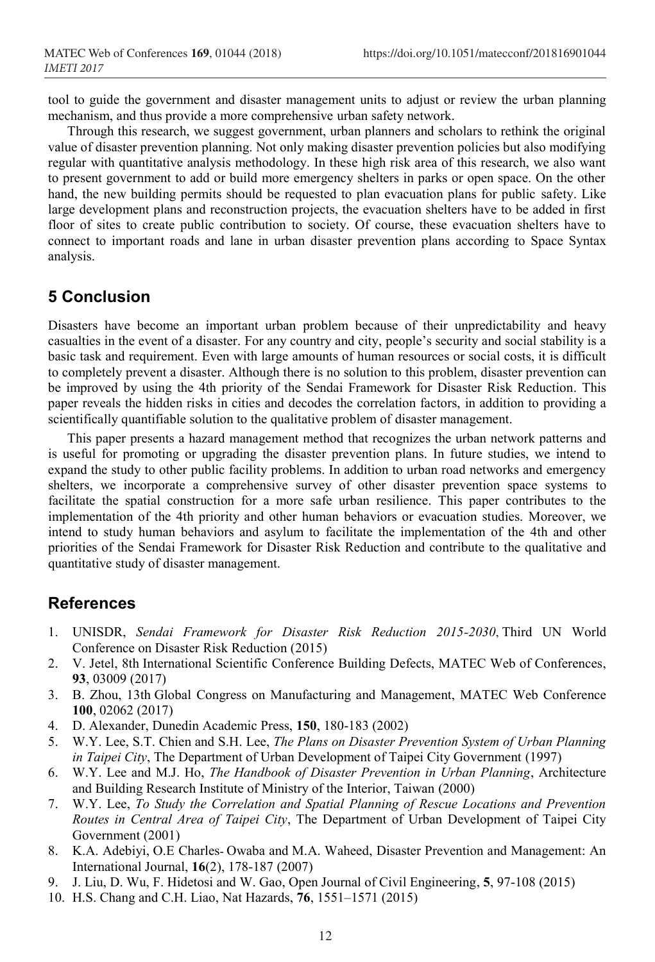tool to guide the government and disaster management units to adjust or review the urban planning mechanism, and thus provide a more comprehensive urban safety network.

Through this research, we suggest government, urban planners and scholars to rethink the original value of disaster prevention planning. Not only making disaster prevention policies but also modifying regular with quantitative analysis methodology. In these high risk area of this research, we also want to present government to add or build more emergency shelters in parks or open space. On the other hand, the new building permits should be requested to plan evacuation plans for public safety. Like large development plans and reconstruction projects, the evacuation shelters have to be added in first floor of sites to create public contribution to society. Of course, these evacuation shelters have to connect to important roads and lane in urban disaster prevention plans according to Space Syntax analysis.

### **5 Conclusion**

Disasters have become an important urban problem because of their unpredictability and heavy casualties in the event of a disaster. For any country and city, people's security and social stability is a basic task and requirement. Even with large amounts of human resources or social costs, it is difficult to completely prevent a disaster. Although there is no solution to this problem, disaster prevention can be improved by using the 4th priority of the Sendai Framework for Disaster Risk Reduction. This paper reveals the hidden risks in cities and decodes the correlation factors, in addition to providing a scientifically quantifiable solution to the qualitative problem of disaster management.

This paper presents a hazard management method that recognizes the urban network patterns and is useful for promoting or upgrading the disaster prevention plans. In future studies, we intend to expand the study to other public facility problems. In addition to urban road networks and emergency shelters, we incorporate a comprehensive survey of other disaster prevention space systems to facilitate the spatial construction for a more safe urban resilience. This paper contributes to the implementation of the 4th priority and other human behaviors or evacuation studies. Moreover, we intend to study human behaviors and asylum to facilitate the implementation of the 4th and other priorities of the Sendai Framework for Disaster Risk Reduction and contribute to the qualitative and quantitative study of disaster management.

### **References**

- 1. UNISDR, *Sendai Framework for Disaster Risk Reduction 2015-2030*, Third UN World Conference on Disaster Risk Reduction (2015)
- 2. V. Jetel, 8th International Scientific Conference Building Defects, MATEC Web of Conferences, **93**, 03009 (2017)
- 3. B. Zhou, 13th Global Congress on Manufacturing and Management, MATEC Web Conference **100**, 02062 (2017)
- 4. D. Alexander, Dunedin Academic Press, **150**, 180-183 (2002)
- 5. W.Y. Lee, S.T. Chien and S.H. Lee, *The Plans on Disaster Prevention System of Urban Planning in Taipei City*, The Department of Urban Development of Taipei City Government (1997)
- 6. W.Y. Lee and M.J. Ho, *The Handbook of Disaster Prevention in Urban Planning*, Architecture and Building Research Institute of Ministry of the Interior, Taiwan (2000)
- 7. W.Y. Lee, *To Study the Correlation and Spatial Planning of Rescue Locations and Prevention Routes in Central Area of Taipei City*, The Department of Urban Development of Taipei City Government (2001)
- 8. K.A. Adebiyi, O.E Charles‐ Owaba and M.A. Waheed, Disaster Prevention and Management: An International Journal, **16**(2), 178-187 (2007)
- 9. J. Liu, D. Wu, F. Hidetosi and W. Gao, Open Journal of Civil Engineering, **5**, 97-108 (2015)
- 10. H.S. Chang and C.H. Liao, Nat Hazards, **76**, 1551–1571 (2015)